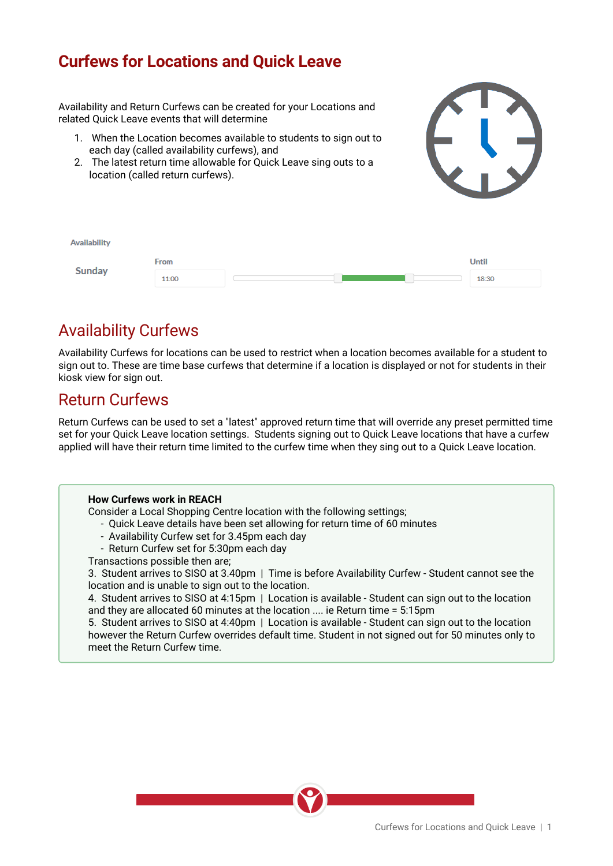## **Curfews for Locations and Quick Leave**

Availability and Return Curfews can be created for your Locations and related Quick Leave events that will determine

- 1. When the Location becomes available to students to sign out to each day (called availability curfews), and
- 2. The latest return time allowable for Quick Leave sing outs to a location (called return curfews).





# Availability Curfews

Availability Curfews for locations can be used to restrict when a location becomes available for a student to sign out to. These are time base curfews that determine if a location is displayed or not for students in their kiosk view for sign out.

### Return Curfews

Return Curfews can be used to set a "latest" approved return time that will override any preset permitted time set for your Quick Leave location settings. Students signing out to Quick Leave locations that have a curfew applied will have their return time limited to the curfew time when they sing out to a Quick Leave location.

### **How Curfews work in REACH**

Consider a Local Shopping Centre location with the following settings;

- Quick Leave details have been set allowing for return time of 60 minutes
- Availability Curfew set for 3.45pm each day
- Return Curfew set for 5:30pm each day
- Transactions possible then are;

3. Student arrives to SISO at 3.40pm | Time is before Availability Curfew - Student cannot see the location and is unable to sign out to the location.

4. Student arrives to SISO at 4:15pm | Location is available - Student can sign out to the location and they are allocated 60 minutes at the location .... ie Return time = 5:15pm

5. Student arrives to SISO at 4:40pm | Location is available - Student can sign out to the location however the Return Curfew overrides default time. Student in not signed out for 50 minutes only to meet the Return Curfew time.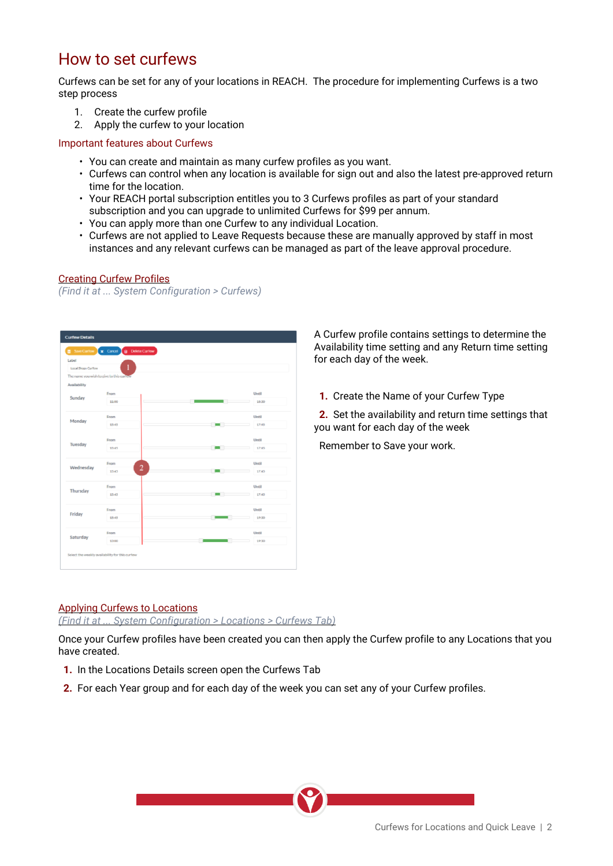## How to set curfews

Curfews can be set for any of your locations in REACH. The procedure for implementing Curfews is a two step process

- 1. Create the curfew profile
- 2. Apply the curfew to your location

#### Important features about Curfews

- You can create and maintain as many curfew profiles as you want.
- Curfews can control when any location is available for sign out and also the latest pre-approved return time for the location.
- Your REACH portal subscription entitles you to 3 Curfews profiles as part of your standard subscription and you can upgrade to unlimited Curfews for \$99 per annum.
- You can apply more than one Curfew to any individual Location.
- Curfews are not applied to Leave Requests because these are manually approved by staff in most instances and any relevant curfews can be managed as part of the leave approval procedure.

#### Creating Curfew Profiles

*(Find it at ... System Configuration > Curfews)*

| Save Curlew                 | x Cancel 8 Delete Curlew                 |                          |       |
|-----------------------------|------------------------------------------|--------------------------|-------|
| Label<br>Local Shops Curfew |                                          |                          |       |
|                             | The name you wish to give to this curtew |                          |       |
| Availability                |                                          |                          |       |
|                             | From                                     |                          | Until |
| Sunday                      | 11:00                                    | 10:30                    |       |
|                             |                                          |                          |       |
| Monday                      | From                                     |                          | Until |
|                             | 15:45                                    | $\sim$                   | 17:45 |
|                             |                                          |                          |       |
| Tuesday                     | From                                     |                          | Until |
|                             | 15:45                                    | $\overline{\phantom{a}}$ | 17:45 |
|                             |                                          |                          |       |
| Wednesday                   | From<br>$\overline{2}$                   |                          | Until |
|                             | 15:45                                    | $\blacksquare$           | 17:45 |
|                             | From                                     |                          | Until |
| Thursday                    | 15:45                                    | $\mathbf{r}$             | 17:45 |
|                             |                                          |                          |       |
| Friday                      | From                                     |                          | Until |
|                             | 15:45                                    |                          | 19:30 |
|                             |                                          |                          |       |
| Saturday                    | From                                     |                          | Until |
|                             | 13:00                                    |                          | 19:30 |

A Curfew profile contains settings to determine the Availability time setting and any Return time setting for each day of the week.

**1.** Create the Name of your Curfew Type

**2.** Set the availability and return time settings that you want for each day of the week

**Remember to Save your work.** 

### Applying Curfews to Locations

*(Find it at ... System Configuration > Locations > Curfews Tab)*

Once your Curfew profiles have been created you can then apply the Curfew profile to any Locations that you have created.

- **1.** In the Locations Details screen open the Curfews Tab
- **2.** For each Year group and for each day of the week you can set any of your Curfew profiles.